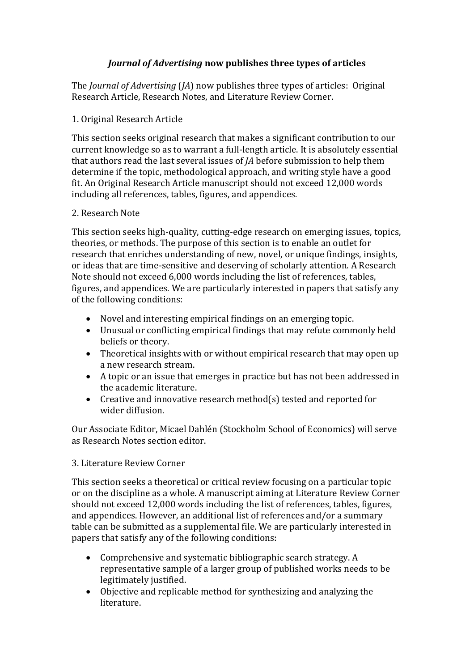## *Journal of Advertising* **now publishes three types of articles**

The *Journal of Advertising* (*JA*) now publishes three types of articles: Original Research Article, Research Notes, and Literature Review Corner.

## 1. Original Research Article

This section seeks original research that makes a significant contribution to our current knowledge so as to warrant a full-length article. It is absolutely essential that authors read the last several issues of *JA* before submission to help them determine if the topic, methodological approach, and writing style have a good fit. An Original Research Article manuscript should not exceed 12,000 words including all references, tables, figures, and appendices.

## 2. Research Note

This section seeks high-quality, cutting-edge research on emerging issues, topics, theories, or methods. The purpose of this section is to enable an outlet for research that enriches understanding of new, novel, or unique findings, insights, or ideas that are time-sensitive and deserving of scholarly attention. A Research Note should not exceed 6,000 words including the list of references, tables, figures, and appendices. We are particularly interested in papers that satisfy any of the following conditions:

- Novel and interesting empirical findings on an emerging topic.
- Unusual or conflicting empirical findings that may refute commonly held beliefs or theory.
- Theoretical insights with or without empirical research that may open up a new research stream.
- A topic or an issue that emerges in practice but has not been addressed in the academic literature.
- Creative and innovative research method(s) tested and reported for wider diffusion.

Our Associate Editor, Micael Dahlén (Stockholm School of Economics) will serve as Research Notes section editor.

## 3. Literature Review Corner

This section seeks a theoretical or critical review focusing on a particular topic or on the discipline as a whole. A manuscript aiming at Literature Review Corner should not exceed 12,000 words including the list of references, tables, figures, and appendices. However, an additional list of references and/or a summary table can be submitted as a supplemental file. We are particularly interested in papers that satisfy any of the following conditions:

- Comprehensive and systematic bibliographic search strategy. A representative sample of a larger group of published works needs to be legitimately justified.
- Objective and replicable method for synthesizing and analyzing the literature.